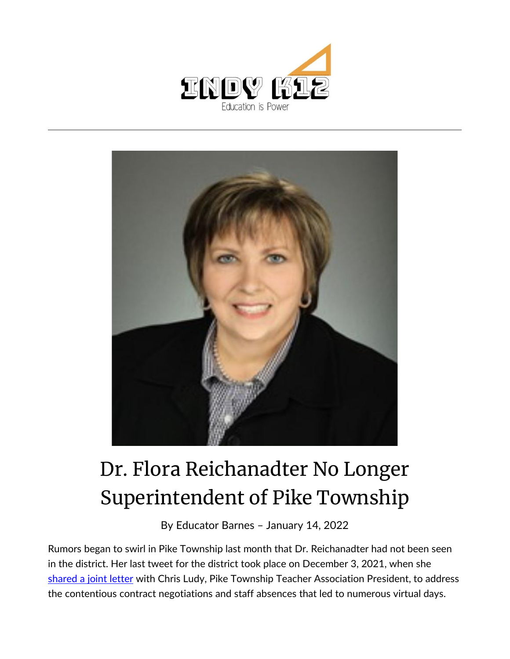



## Dr. Flora Reichanadter No Longer Superintendent of Pike Township

By [Educator Barnes](https://indy.education/author/shicole/) – January 14, 2022

Rumors began to swirl in Pike Township last month that Dr. Reichanadter had not been seen in the district. Her last tweet for the district took place on December 3, 2021, when she [shared a joint letter](https://twitter.com/DrFloraIndy/status/1466736717893931009?s=20&t=6Z3nuudtZLelNh1Gnqkg6g) with Chris Ludy, Pike Township Teacher Association President, to address the contentious contract negotiations and staff absences that led to numerous virtual days.